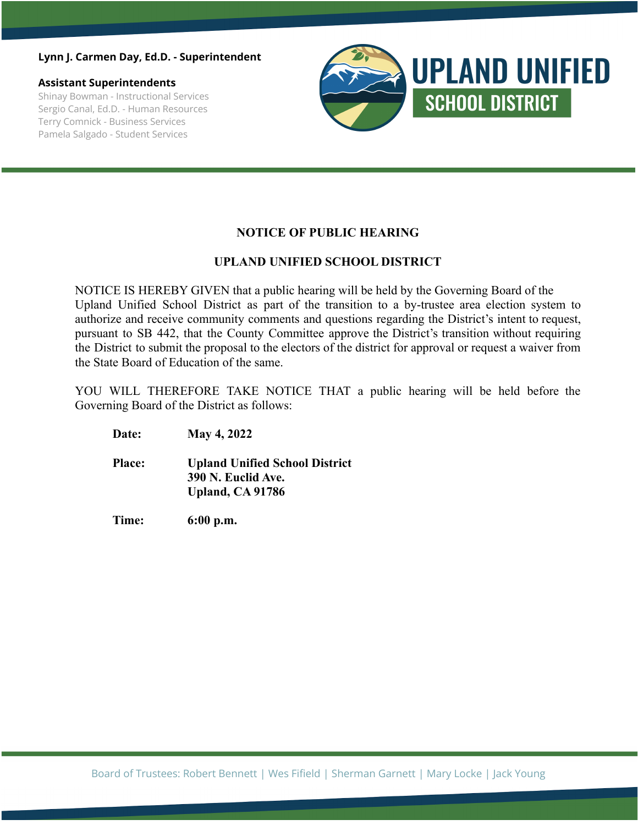### **Lynn J. Carmen Day, Ed.D. - Superintendent**

#### **Assistant Superintendents**

Shinay Bowman - Instructional Services Sergio Canal, Ed.D. - Human Resources Terry Comnick - Business Services Pamela Salgado - Student Services



# **NOTICE OF PUBLIC HEARING**

# **UPLAND UNIFIED SCHOOL DISTRICT**

NOTICE IS HEREBY GIVEN that a public hearing will be held by the Governing Board of the Upland Unified School District as part of the transition to a by-trustee area election system to authorize and receive community comments and questions regarding the District's intent to request, pursuant to SB 442, that the County Committee approve the District's transition without requiring the District to submit the proposal to the electors of the district for approval or request a waiver from the State Board of Education of the same.

YOU WILL THEREFORE TAKE NOTICE THAT a public hearing will be held before the Governing Board of the District as follows:

**Date: May 4, 2022**

**Place: Upland Unified School District 390 N. Euclid Ave. Upland, CA 91786**

**Time: 6:00 p.m.**